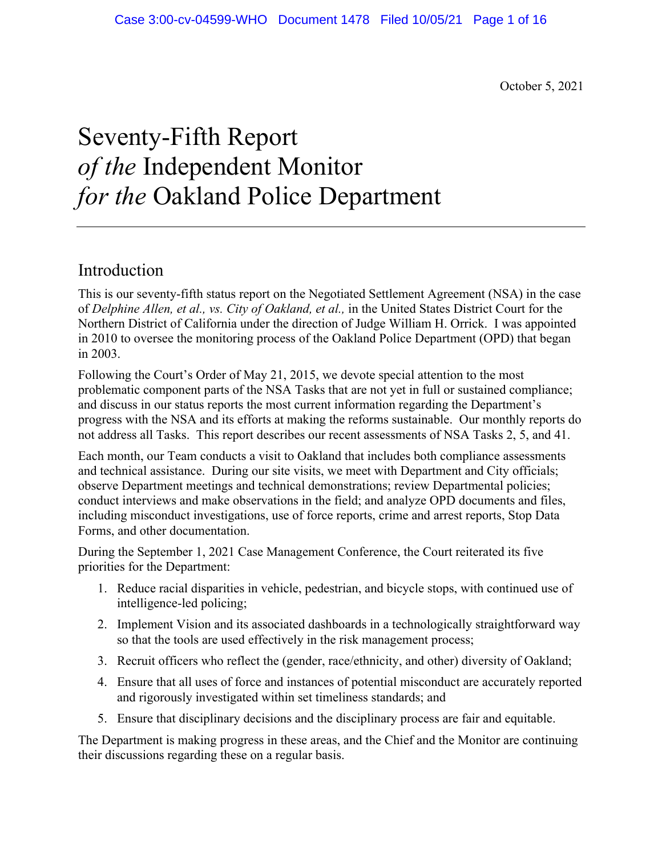October 5, 2021

# Seventy-Fifth Report *of the* Independent Monitor *for the* Oakland Police Department

## Introduction

This is our seventy-fifth status report on the Negotiated Settlement Agreement (NSA) in the case of *Delphine Allen, et al., vs. City of Oakland, et al.,* in the United States District Court for the Northern District of California under the direction of Judge William H. Orrick. I was appointed in 2010 to oversee the monitoring process of the Oakland Police Department (OPD) that began in 2003.

Following the Court's Order of May 21, 2015, we devote special attention to the most problematic component parts of the NSA Tasks that are not yet in full or sustained compliance; and discuss in our status reports the most current information regarding the Department's progress with the NSA and its efforts at making the reforms sustainable. Our monthly reports do not address all Tasks. This report describes our recent assessments of NSA Tasks 2, 5, and 41.

Each month, our Team conducts a visit to Oakland that includes both compliance assessments and technical assistance. During our site visits, we meet with Department and City officials; observe Department meetings and technical demonstrations; review Departmental policies; conduct interviews and make observations in the field; and analyze OPD documents and files, including misconduct investigations, use of force reports, crime and arrest reports, Stop Data Forms, and other documentation.

During the September 1, 2021 Case Management Conference, the Court reiterated its five priorities for the Department:

- 1. Reduce racial disparities in vehicle, pedestrian, and bicycle stops, with continued use of intelligence-led policing;
- 2. Implement Vision and its associated dashboards in a technologically straightforward way so that the tools are used effectively in the risk management process;
- 3. Recruit officers who reflect the (gender, race/ethnicity, and other) diversity of Oakland;
- 4. Ensure that all uses of force and instances of potential misconduct are accurately reported and rigorously investigated within set timeliness standards; and
- 5. Ensure that disciplinary decisions and the disciplinary process are fair and equitable.

The Department is making progress in these areas, and the Chief and the Monitor are continuing their discussions regarding these on a regular basis.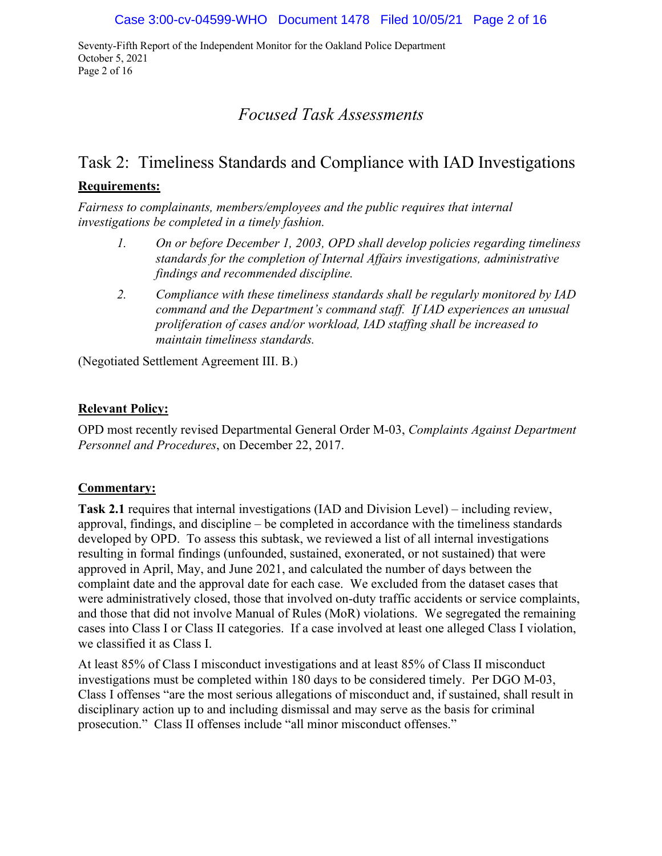Seventy-Fifth Report of the Independent Monitor for the Oakland Police Department October 5, 2021 Page 2 of 16

## *Focused Task Assessments*

## Task 2: Timeliness Standards and Compliance with IAD Investigations

#### **Requirements:**

*Fairness to complainants, members/employees and the public requires that internal investigations be completed in a timely fashion.* 

- *1. On or before December 1, 2003, OPD shall develop policies regarding timeliness standards for the completion of Internal Affairs investigations, administrative findings and recommended discipline.*
- *2. Compliance with these timeliness standards shall be regularly monitored by IAD command and the Department's command staff. If IAD experiences an unusual proliferation of cases and/or workload, IAD staffing shall be increased to maintain timeliness standards.*

(Negotiated Settlement Agreement III. B.)

#### **Relevant Policy:**

OPD most recently revised Departmental General Order M-03, *Complaints Against Department Personnel and Procedures*, on December 22, 2017.

#### **Commentary:**

**Task 2.1** requires that internal investigations (IAD and Division Level) – including review, approval, findings, and discipline – be completed in accordance with the timeliness standards developed by OPD. To assess this subtask, we reviewed a list of all internal investigations resulting in formal findings (unfounded, sustained, exonerated, or not sustained) that were approved in April, May, and June 2021, and calculated the number of days between the complaint date and the approval date for each case. We excluded from the dataset cases that were administratively closed, those that involved on-duty traffic accidents or service complaints, and those that did not involve Manual of Rules (MoR) violations. We segregated the remaining cases into Class I or Class II categories. If a case involved at least one alleged Class I violation, we classified it as Class I.

At least 85% of Class I misconduct investigations and at least 85% of Class II misconduct investigations must be completed within 180 days to be considered timely. Per DGO M-03, Class I offenses "are the most serious allegations of misconduct and, if sustained, shall result in disciplinary action up to and including dismissal and may serve as the basis for criminal prosecution." Class II offenses include "all minor misconduct offenses."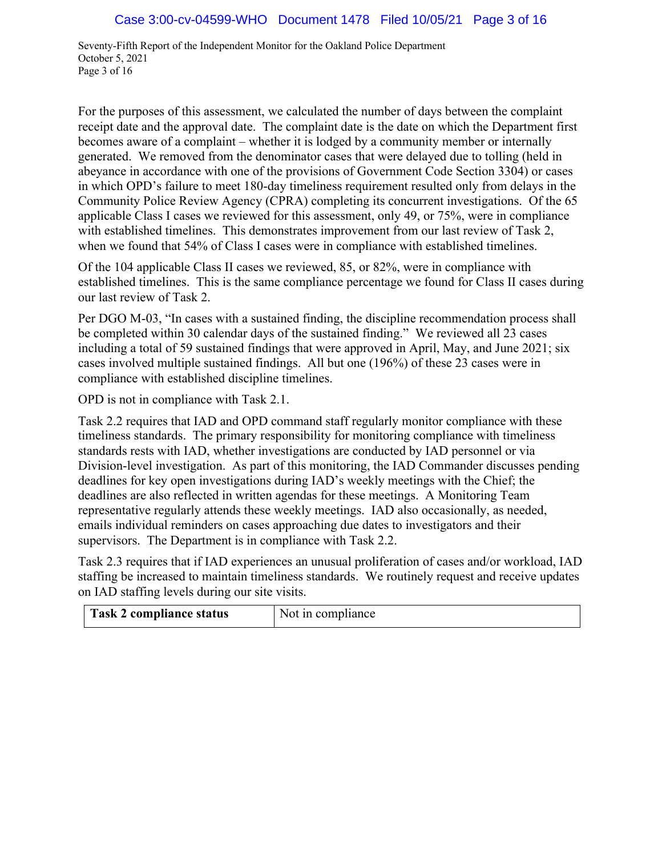Seventy-Fifth Report of the Independent Monitor for the Oakland Police Department October 5, 2021 Page 3 of 16

For the purposes of this assessment, we calculated the number of days between the complaint receipt date and the approval date. The complaint date is the date on which the Department first becomes aware of a complaint – whether it is lodged by a community member or internally generated. We removed from the denominator cases that were delayed due to tolling (held in abeyance in accordance with one of the provisions of Government Code Section 3304) or cases in which OPD's failure to meet 180-day timeliness requirement resulted only from delays in the Community Police Review Agency (CPRA) completing its concurrent investigations. Of the 65 applicable Class I cases we reviewed for this assessment, only 49, or 75%, were in compliance with established timelines. This demonstrates improvement from our last review of Task 2, when we found that 54% of Class I cases were in compliance with established timelines.

Of the 104 applicable Class II cases we reviewed, 85, or 82%, were in compliance with established timelines. This is the same compliance percentage we found for Class II cases during our last review of Task 2.

Per DGO M-03, "In cases with a sustained finding, the discipline recommendation process shall be completed within 30 calendar days of the sustained finding." We reviewed all 23 cases including a total of 59 sustained findings that were approved in April, May, and June 2021; six cases involved multiple sustained findings. All but one (196%) of these 23 cases were in compliance with established discipline timelines.

OPD is not in compliance with Task 2.1.

Task 2.2 requires that IAD and OPD command staff regularly monitor compliance with these timeliness standards. The primary responsibility for monitoring compliance with timeliness standards rests with IAD, whether investigations are conducted by IAD personnel or via Division-level investigation. As part of this monitoring, the IAD Commander discusses pending deadlines for key open investigations during IAD's weekly meetings with the Chief; the deadlines are also reflected in written agendas for these meetings. A Monitoring Team representative regularly attends these weekly meetings. IAD also occasionally, as needed, emails individual reminders on cases approaching due dates to investigators and their supervisors. The Department is in compliance with Task 2.2.

Task 2.3 requires that if IAD experiences an unusual proliferation of cases and/or workload, IAD staffing be increased to maintain timeliness standards. We routinely request and receive updates on IAD staffing levels during our site visits.

| Task 2 compliance status<br>Not in compliance |  |
|-----------------------------------------------|--|
|-----------------------------------------------|--|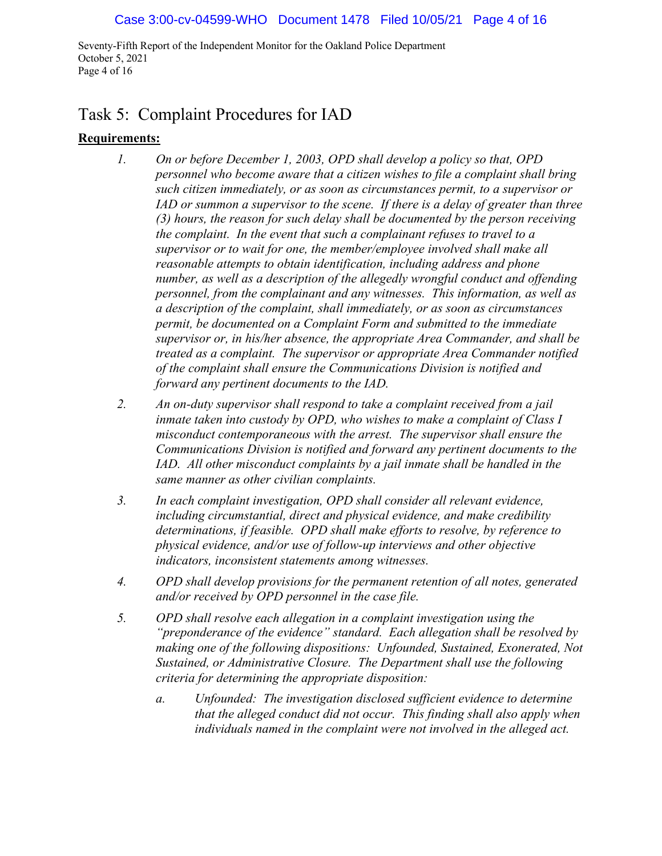Seventy-Fifth Report of the Independent Monitor for the Oakland Police Department October 5, 2021 Page 4 of 16

## Task 5: Complaint Procedures for IAD

#### **Requirements:**

- *1. On or before December 1, 2003, OPD shall develop a policy so that, OPD personnel who become aware that a citizen wishes to file a complaint shall bring such citizen immediately, or as soon as circumstances permit, to a supervisor or IAD or summon a supervisor to the scene. If there is a delay of greater than three (3) hours, the reason for such delay shall be documented by the person receiving the complaint. In the event that such a complainant refuses to travel to a supervisor or to wait for one, the member/employee involved shall make all reasonable attempts to obtain identification, including address and phone number, as well as a description of the allegedly wrongful conduct and offending personnel, from the complainant and any witnesses. This information, as well as a description of the complaint, shall immediately, or as soon as circumstances permit, be documented on a Complaint Form and submitted to the immediate supervisor or, in his/her absence, the appropriate Area Commander, and shall be treated as a complaint. The supervisor or appropriate Area Commander notified of the complaint shall ensure the Communications Division is notified and forward any pertinent documents to the IAD.*
- *2. An on-duty supervisor shall respond to take a complaint received from a jail inmate taken into custody by OPD, who wishes to make a complaint of Class I misconduct contemporaneous with the arrest. The supervisor shall ensure the Communications Division is notified and forward any pertinent documents to the IAD. All other misconduct complaints by a jail inmate shall be handled in the same manner as other civilian complaints.*
- *3. In each complaint investigation, OPD shall consider all relevant evidence, including circumstantial, direct and physical evidence, and make credibility determinations, if feasible. OPD shall make efforts to resolve, by reference to physical evidence, and/or use of follow-up interviews and other objective indicators, inconsistent statements among witnesses.*
- *4. OPD shall develop provisions for the permanent retention of all notes, generated and/or received by OPD personnel in the case file.*
- *5. OPD shall resolve each allegation in a complaint investigation using the "preponderance of the evidence" standard. Each allegation shall be resolved by making one of the following dispositions: Unfounded, Sustained, Exonerated, Not Sustained, or Administrative Closure. The Department shall use the following criteria for determining the appropriate disposition:*
	- *a. Unfounded: The investigation disclosed sufficient evidence to determine that the alleged conduct did not occur. This finding shall also apply when individuals named in the complaint were not involved in the alleged act.*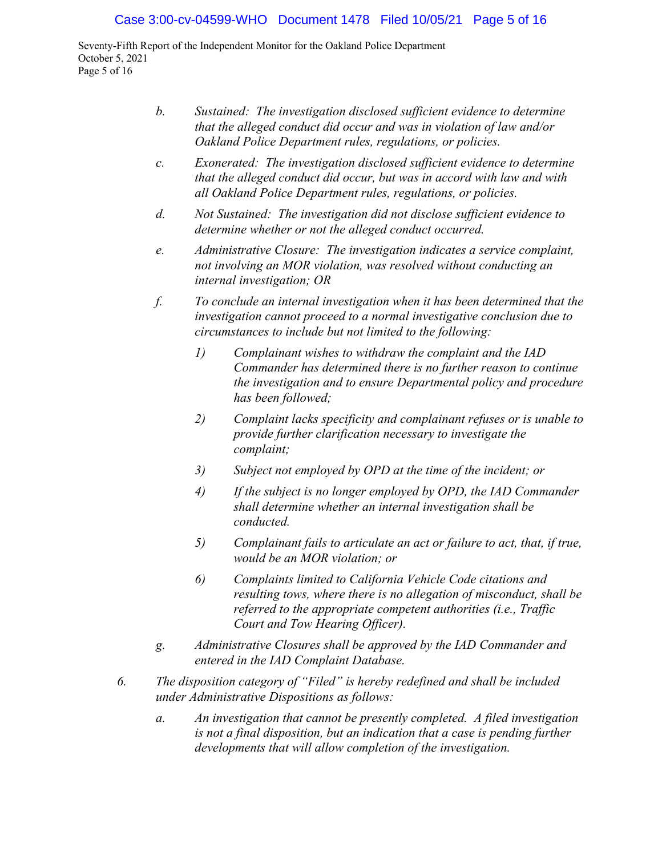Seventy-Fifth Report of the Independent Monitor for the Oakland Police Department October 5, 2021 Page 5 of 16

- *b. Sustained: The investigation disclosed sufficient evidence to determine that the alleged conduct did occur and was in violation of law and/or Oakland Police Department rules, regulations, or policies.*
- *c. Exonerated: The investigation disclosed sufficient evidence to determine that the alleged conduct did occur, but was in accord with law and with all Oakland Police Department rules, regulations, or policies.*
- *d. Not Sustained: The investigation did not disclose sufficient evidence to determine whether or not the alleged conduct occurred.*
- *e. Administrative Closure: The investigation indicates a service complaint, not involving an MOR violation, was resolved without conducting an internal investigation; OR*
- *f. To conclude an internal investigation when it has been determined that the investigation cannot proceed to a normal investigative conclusion due to circumstances to include but not limited to the following:* 
	- *1) Complainant wishes to withdraw the complaint and the IAD Commander has determined there is no further reason to continue the investigation and to ensure Departmental policy and procedure has been followed;*
	- *2) Complaint lacks specificity and complainant refuses or is unable to provide further clarification necessary to investigate the complaint;*
	- *3) Subject not employed by OPD at the time of the incident; or*
	- *4) If the subject is no longer employed by OPD, the IAD Commander shall determine whether an internal investigation shall be conducted.*
	- *5) Complainant fails to articulate an act or failure to act, that, if true, would be an MOR violation; or*
	- *6) Complaints limited to California Vehicle Code citations and resulting tows, where there is no allegation of misconduct, shall be referred to the appropriate competent authorities (i.e., Traffic Court and Tow Hearing Officer).*
- *g. Administrative Closures shall be approved by the IAD Commander and entered in the IAD Complaint Database.*
- *6. The disposition category of "Filed" is hereby redefined and shall be included under Administrative Dispositions as follows:*
	- *a. An investigation that cannot be presently completed. A filed investigation is not a final disposition, but an indication that a case is pending further developments that will allow completion of the investigation.*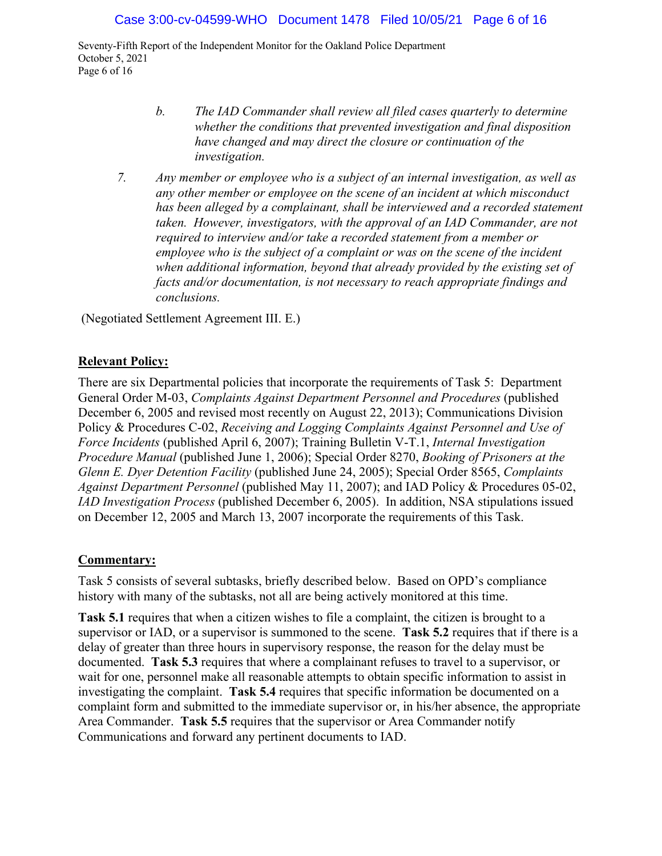Seventy-Fifth Report of the Independent Monitor for the Oakland Police Department October 5, 2021 Page 6 of 16

- *b. The IAD Commander shall review all filed cases quarterly to determine whether the conditions that prevented investigation and final disposition have changed and may direct the closure or continuation of the investigation.*
- *7. Any member or employee who is a subject of an internal investigation, as well as any other member or employee on the scene of an incident at which misconduct*  has been alleged by a complainant, shall be interviewed and a recorded statement *taken. However, investigators, with the approval of an IAD Commander, are not required to interview and/or take a recorded statement from a member or employee who is the subject of a complaint or was on the scene of the incident when additional information, beyond that already provided by the existing set of facts and/or documentation, is not necessary to reach appropriate findings and conclusions.*

(Negotiated Settlement Agreement III. E.)

#### **Relevant Policy:**

There are six Departmental policies that incorporate the requirements of Task 5: Department General Order M-03, *Complaints Against Department Personnel and Procedures* (published December 6, 2005 and revised most recently on August 22, 2013); Communications Division Policy & Procedures C-02, *Receiving and Logging Complaints Against Personnel and Use of Force Incidents* (published April 6, 2007); Training Bulletin V-T.1, *Internal Investigation Procedure Manual* (published June 1, 2006); Special Order 8270, *Booking of Prisoners at the Glenn E. Dyer Detention Facility* (published June 24, 2005); Special Order 8565, *Complaints Against Department Personnel* (published May 11, 2007); and IAD Policy & Procedures 05-02, *IAD Investigation Process* (published December 6, 2005). In addition, NSA stipulations issued on December 12, 2005 and March 13, 2007 incorporate the requirements of this Task.

#### **Commentary:**

Task 5 consists of several subtasks, briefly described below. Based on OPD's compliance history with many of the subtasks, not all are being actively monitored at this time.

**Task 5.1** requires that when a citizen wishes to file a complaint, the citizen is brought to a supervisor or IAD, or a supervisor is summoned to the scene. **Task 5.2** requires that if there is a delay of greater than three hours in supervisory response, the reason for the delay must be documented. **Task 5.3** requires that where a complainant refuses to travel to a supervisor, or wait for one, personnel make all reasonable attempts to obtain specific information to assist in investigating the complaint. **Task 5.4** requires that specific information be documented on a complaint form and submitted to the immediate supervisor or, in his/her absence, the appropriate Area Commander. **Task 5.5** requires that the supervisor or Area Commander notify Communications and forward any pertinent documents to IAD.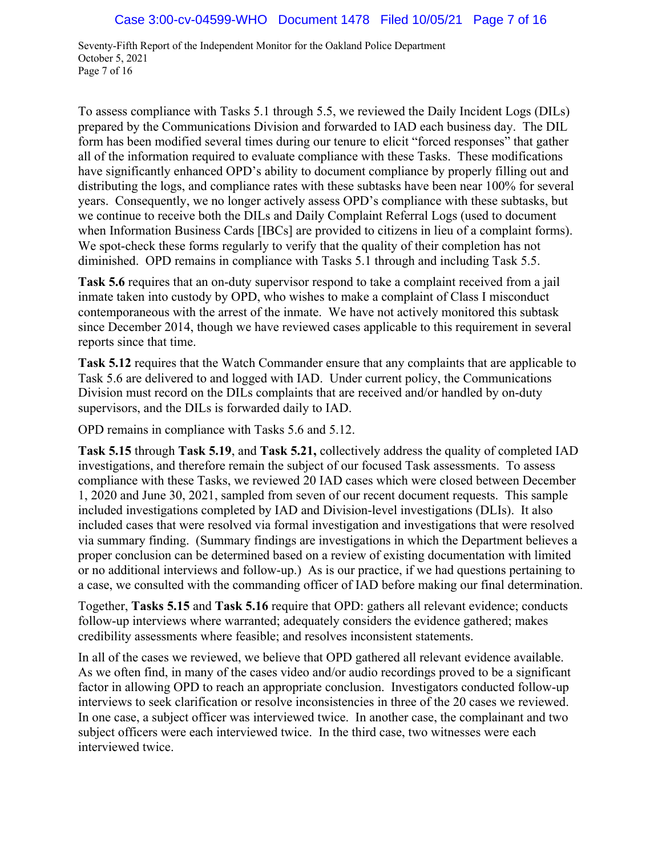Seventy-Fifth Report of the Independent Monitor for the Oakland Police Department October 5, 2021 Page 7 of 16

To assess compliance with Tasks 5.1 through 5.5, we reviewed the Daily Incident Logs (DILs) prepared by the Communications Division and forwarded to IAD each business day. The DIL form has been modified several times during our tenure to elicit "forced responses" that gather all of the information required to evaluate compliance with these Tasks. These modifications have significantly enhanced OPD's ability to document compliance by properly filling out and distributing the logs, and compliance rates with these subtasks have been near 100% for several years. Consequently, we no longer actively assess OPD's compliance with these subtasks, but we continue to receive both the DILs and Daily Complaint Referral Logs (used to document when Information Business Cards [IBCs] are provided to citizens in lieu of a complaint forms). We spot-check these forms regularly to verify that the quality of their completion has not diminished. OPD remains in compliance with Tasks 5.1 through and including Task 5.5.

**Task 5.6** requires that an on-duty supervisor respond to take a complaint received from a jail inmate taken into custody by OPD, who wishes to make a complaint of Class I misconduct contemporaneous with the arrest of the inmate. We have not actively monitored this subtask since December 2014, though we have reviewed cases applicable to this requirement in several reports since that time.

**Task 5.12** requires that the Watch Commander ensure that any complaints that are applicable to Task 5.6 are delivered to and logged with IAD. Under current policy, the Communications Division must record on the DILs complaints that are received and/or handled by on-duty supervisors, and the DILs is forwarded daily to IAD.

OPD remains in compliance with Tasks 5.6 and 5.12.

**Task 5.15** through **Task 5.19**, and **Task 5.21,** collectively address the quality of completed IAD investigations, and therefore remain the subject of our focused Task assessments. To assess compliance with these Tasks, we reviewed 20 IAD cases which were closed between December 1, 2020 and June 30, 2021, sampled from seven of our recent document requests. This sample included investigations completed by IAD and Division-level investigations (DLIs). It also included cases that were resolved via formal investigation and investigations that were resolved via summary finding. (Summary findings are investigations in which the Department believes a proper conclusion can be determined based on a review of existing documentation with limited or no additional interviews and follow-up.) As is our practice, if we had questions pertaining to a case, we consulted with the commanding officer of IAD before making our final determination.

Together, **Tasks 5.15** and **Task 5.16** require that OPD: gathers all relevant evidence; conducts follow-up interviews where warranted; adequately considers the evidence gathered; makes credibility assessments where feasible; and resolves inconsistent statements.

In all of the cases we reviewed, we believe that OPD gathered all relevant evidence available. As we often find, in many of the cases video and/or audio recordings proved to be a significant factor in allowing OPD to reach an appropriate conclusion. Investigators conducted follow-up interviews to seek clarification or resolve inconsistencies in three of the 20 cases we reviewed. In one case, a subject officer was interviewed twice. In another case, the complainant and two subject officers were each interviewed twice. In the third case, two witnesses were each interviewed twice.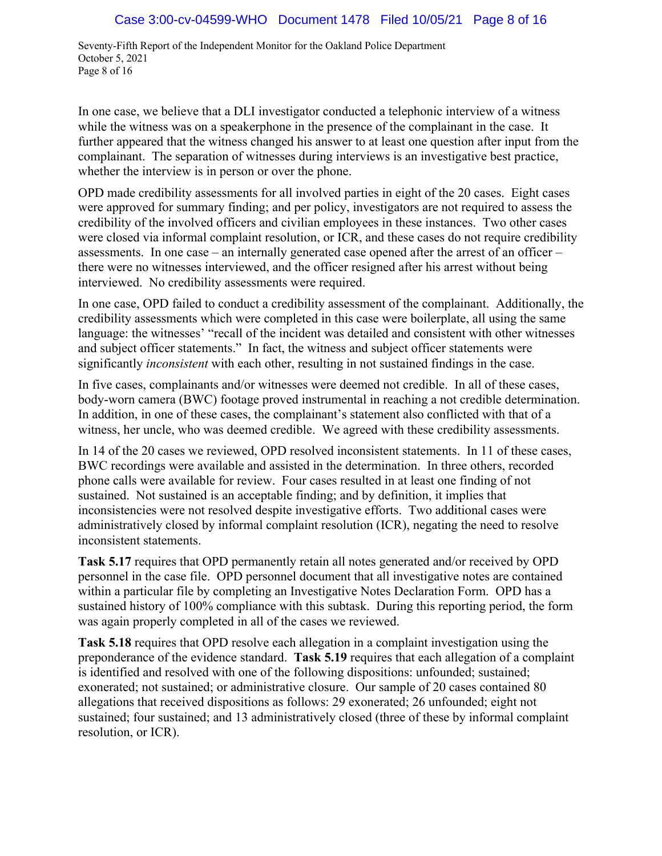Seventy-Fifth Report of the Independent Monitor for the Oakland Police Department October 5, 2021 Page 8 of 16

In one case, we believe that a DLI investigator conducted a telephonic interview of a witness while the witness was on a speakerphone in the presence of the complainant in the case. It further appeared that the witness changed his answer to at least one question after input from the complainant. The separation of witnesses during interviews is an investigative best practice, whether the interview is in person or over the phone.

OPD made credibility assessments for all involved parties in eight of the 20 cases. Eight cases were approved for summary finding; and per policy, investigators are not required to assess the credibility of the involved officers and civilian employees in these instances. Two other cases were closed via informal complaint resolution, or ICR, and these cases do not require credibility assessments. In one case – an internally generated case opened after the arrest of an officer – there were no witnesses interviewed, and the officer resigned after his arrest without being interviewed. No credibility assessments were required.

In one case, OPD failed to conduct a credibility assessment of the complainant. Additionally, the credibility assessments which were completed in this case were boilerplate, all using the same language: the witnesses' "recall of the incident was detailed and consistent with other witnesses and subject officer statements." In fact, the witness and subject officer statements were significantly *inconsistent* with each other, resulting in not sustained findings in the case.

In five cases, complainants and/or witnesses were deemed not credible. In all of these cases, body-worn camera (BWC) footage proved instrumental in reaching a not credible determination. In addition, in one of these cases, the complainant's statement also conflicted with that of a witness, her uncle, who was deemed credible. We agreed with these credibility assessments.

In 14 of the 20 cases we reviewed, OPD resolved inconsistent statements. In 11 of these cases, BWC recordings were available and assisted in the determination. In three others, recorded phone calls were available for review. Four cases resulted in at least one finding of not sustained. Not sustained is an acceptable finding; and by definition, it implies that inconsistencies were not resolved despite investigative efforts. Two additional cases were administratively closed by informal complaint resolution (ICR), negating the need to resolve inconsistent statements.

**Task 5.17** requires that OPD permanently retain all notes generated and/or received by OPD personnel in the case file. OPD personnel document that all investigative notes are contained within a particular file by completing an Investigative Notes Declaration Form. OPD has a sustained history of 100% compliance with this subtask. During this reporting period, the form was again properly completed in all of the cases we reviewed.

**Task 5.18** requires that OPD resolve each allegation in a complaint investigation using the preponderance of the evidence standard. **Task 5.19** requires that each allegation of a complaint is identified and resolved with one of the following dispositions: unfounded; sustained; exonerated; not sustained; or administrative closure. Our sample of 20 cases contained 80 allegations that received dispositions as follows: 29 exonerated; 26 unfounded; eight not sustained; four sustained; and 13 administratively closed (three of these by informal complaint resolution, or ICR).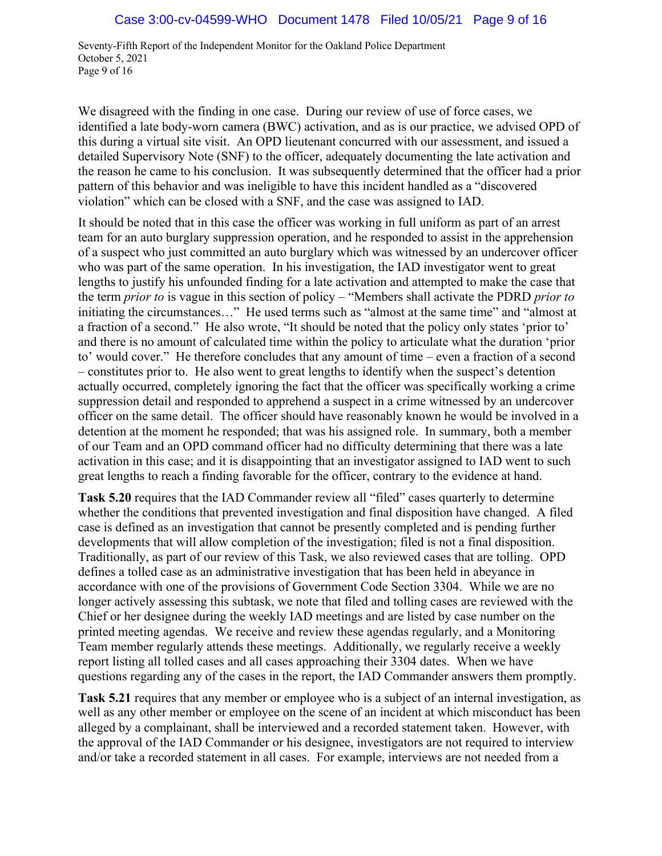Seventy-Fifth Report of the Independent Monitor for the Oakland Police Department October 5, 2021 Page 9 of 16

We disagreed with the finding in one case. During our review of use of force cases, we identified a late body-worn camera (BWC) activation, and as is our practice, we advised OPD of this during a virtual site visit. An OPD lieutenant concurred with our assessment, and issued a detailed Supervisory Note (SNF) to the officer, adequately documenting the late activation and the reason he came to his conclusion. It was subsequently determined that the officer had a prior pattern of this behavior and was ineligible to have this incident handled as a "discovered violation" which can be closed with a SNF, and the case was assigned to IAD.

It should be noted that in this case the officer was working in full uniform as part of an arrest team for an auto burglary suppression operation, and he responded to assist in the apprehension of a suspect who just committed an auto burglary which was witnessed by an undercover officer who was part of the same operation. In his investigation, the IAD investigator went to great lengths to justify his unfounded finding for a late activation and attempted to make the case that the term *prior to* is vague in this section of policy – "Members shall activate the PDRD *prior to* initiating the circumstances…" He used terms such as "almost at the same time" and "almost at a fraction of a second." He also wrote, "It should be noted that the policy only states 'prior to' and there is no amount of calculated time within the policy to articulate what the duration 'prior to' would cover." He therefore concludes that any amount of time – even a fraction of a second – constitutes prior to. He also went to great lengths to identify when the suspect's detention actually occurred, completely ignoring the fact that the officer was specifically working a crime suppression detail and responded to apprehend a suspect in a crime witnessed by an undercover officer on the same detail. The officer should have reasonably known he would be involved in a detention at the moment he responded; that was his assigned role. In summary, both a member of our Team and an OPD command officer had no difficulty determining that there was a late activation in this case; and it is disappointing that an investigator assigned to IAD went to such great lengths to reach a finding favorable for the officer, contrary to the evidence at hand.

**Task 5.20** requires that the IAD Commander review all "filed" cases quarterly to determine whether the conditions that prevented investigation and final disposition have changed. A filed case is defined as an investigation that cannot be presently completed and is pending further developments that will allow completion of the investigation; filed is not a final disposition. Traditionally, as part of our review of this Task, we also reviewed cases that are tolling. OPD defines a tolled case as an administrative investigation that has been held in abeyance in accordance with one of the provisions of Government Code Section 3304. While we are no longer actively assessing this subtask, we note that filed and tolling cases are reviewed with the Chief or her designee during the weekly IAD meetings and are listed by case number on the printed meeting agendas. We receive and review these agendas regularly, and a Monitoring Team member regularly attends these meetings. Additionally, we regularly receive a weekly report listing all tolled cases and all cases approaching their 3304 dates. When we have questions regarding any of the cases in the report, the IAD Commander answers them promptly.

**Task 5.21** requires that any member or employee who is a subject of an internal investigation, as well as any other member or employee on the scene of an incident at which misconduct has been alleged by a complainant, shall be interviewed and a recorded statement taken. However, with the approval of the IAD Commander or his designee, investigators are not required to interview and/or take a recorded statement in all cases. For example, interviews are not needed from a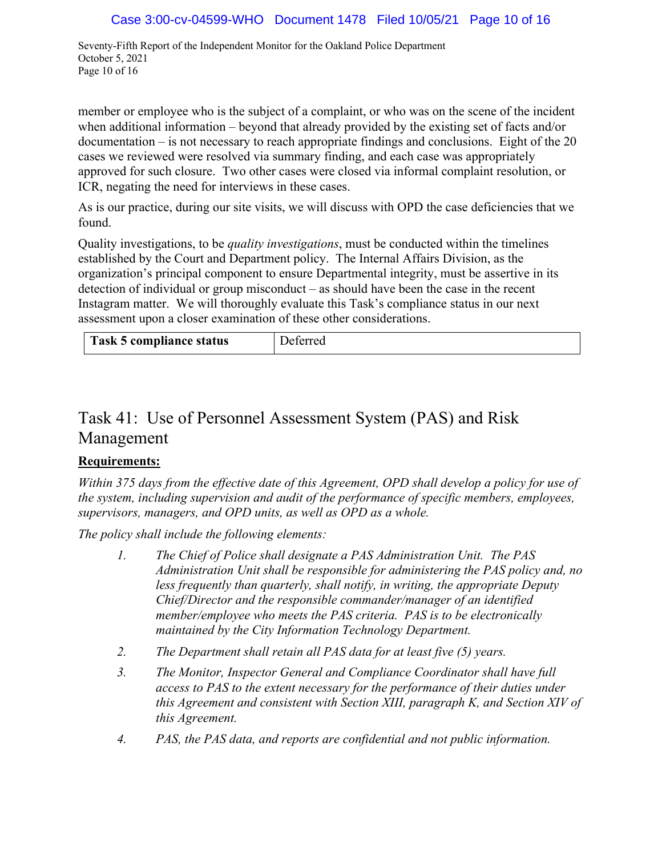Seventy-Fifth Report of the Independent Monitor for the Oakland Police Department October 5, 2021 Page 10 of 16

member or employee who is the subject of a complaint, or who was on the scene of the incident when additional information – beyond that already provided by the existing set of facts and/or documentation – is not necessary to reach appropriate findings and conclusions. Eight of the 20 cases we reviewed were resolved via summary finding, and each case was appropriately approved for such closure. Two other cases were closed via informal complaint resolution, or ICR, negating the need for interviews in these cases.

As is our practice, during our site visits, we will discuss with OPD the case deficiencies that we found.

Quality investigations, to be *quality investigations*, must be conducted within the timelines established by the Court and Department policy. The Internal Affairs Division, as the organization's principal component to ensure Departmental integrity, must be assertive in its detection of individual or group misconduct – as should have been the case in the recent Instagram matter. We will thoroughly evaluate this Task's compliance status in our next assessment upon a closer examination of these other considerations.

| Task 5 compliance status | <b>Deferred</b> |
|--------------------------|-----------------|

## Task 41: Use of Personnel Assessment System (PAS) and Risk Management

### **Requirements:**

*Within 375 days from the effective date of this Agreement, OPD shall develop a policy for use of the system, including supervision and audit of the performance of specific members, employees, supervisors, managers, and OPD units, as well as OPD as a whole.* 

*The policy shall include the following elements:*

- *1. The Chief of Police shall designate a PAS Administration Unit. The PAS Administration Unit shall be responsible for administering the PAS policy and, no less frequently than quarterly, shall notify, in writing, the appropriate Deputy Chief/Director and the responsible commander/manager of an identified member/employee who meets the PAS criteria. PAS is to be electronically maintained by the City Information Technology Department.*
- *2. The Department shall retain all PAS data for at least five (5) years.*
- *3. The Monitor, Inspector General and Compliance Coordinator shall have full access to PAS to the extent necessary for the performance of their duties under this Agreement and consistent with Section XIII, paragraph K, and Section XIV of this Agreement.*
- *4. PAS, the PAS data, and reports are confidential and not public information.*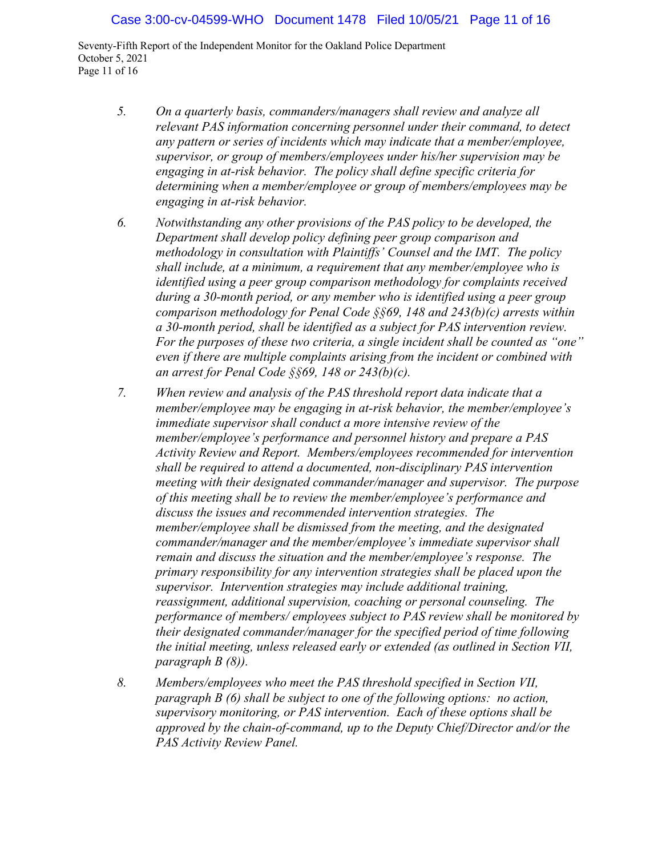Seventy-Fifth Report of the Independent Monitor for the Oakland Police Department October 5, 2021 Page 11 of 16

- *5. On a quarterly basis, commanders/managers shall review and analyze all relevant PAS information concerning personnel under their command, to detect any pattern or series of incidents which may indicate that a member/employee, supervisor, or group of members/employees under his/her supervision may be engaging in at-risk behavior. The policy shall define specific criteria for determining when a member/employee or group of members/employees may be engaging in at-risk behavior.*
- *6. Notwithstanding any other provisions of the PAS policy to be developed, the Department shall develop policy defining peer group comparison and methodology in consultation with Plaintiffs' Counsel and the IMT. The policy shall include, at a minimum, a requirement that any member/employee who is identified using a peer group comparison methodology for complaints received during a 30-month period, or any member who is identified using a peer group comparison methodology for Penal Code §§69, 148 and 243(b)(c) arrests within a 30-month period, shall be identified as a subject for PAS intervention review. For the purposes of these two criteria, a single incident shall be counted as "one" even if there are multiple complaints arising from the incident or combined with an arrest for Penal Code §§69, 148 or 243(b)(c).*
- *7. When review and analysis of the PAS threshold report data indicate that a member/employee may be engaging in at-risk behavior, the member/employee's immediate supervisor shall conduct a more intensive review of the member/employee's performance and personnel history and prepare a PAS Activity Review and Report. Members/employees recommended for intervention shall be required to attend a documented, non-disciplinary PAS intervention meeting with their designated commander/manager and supervisor. The purpose of this meeting shall be to review the member/employee's performance and discuss the issues and recommended intervention strategies. The member/employee shall be dismissed from the meeting, and the designated commander/manager and the member/employee's immediate supervisor shall remain and discuss the situation and the member/employee's response. The primary responsibility for any intervention strategies shall be placed upon the supervisor. Intervention strategies may include additional training, reassignment, additional supervision, coaching or personal counseling. The performance of members/ employees subject to PAS review shall be monitored by their designated commander/manager for the specified period of time following the initial meeting, unless released early or extended (as outlined in Section VII, paragraph B (8)).*
- *8. Members/employees who meet the PAS threshold specified in Section VII, paragraph B (6) shall be subject to one of the following options: no action, supervisory monitoring, or PAS intervention. Each of these options shall be approved by the chain-of-command, up to the Deputy Chief/Director and/or the PAS Activity Review Panel.*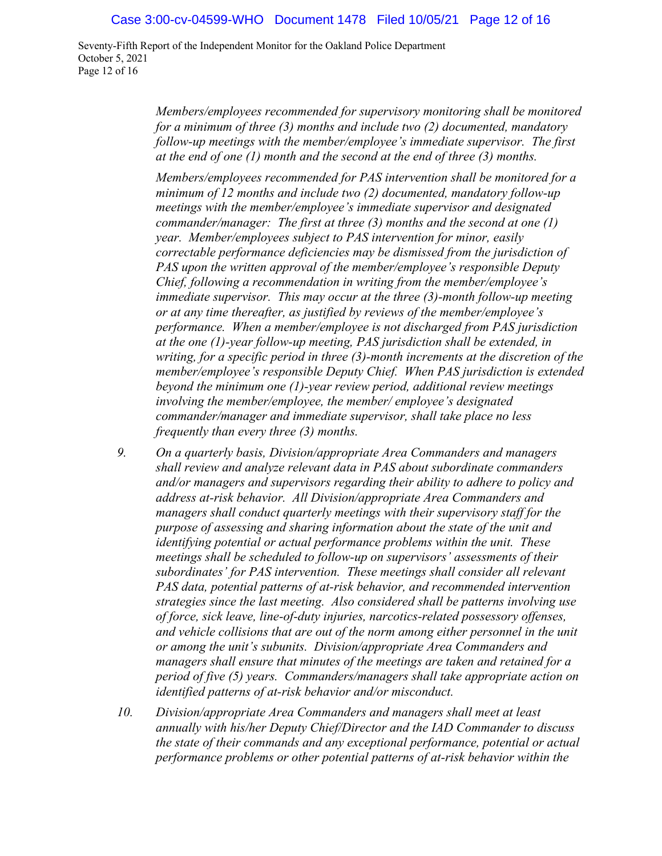#### Case 3:00-cv-04599-WHO Document 1478 Filed 10/05/21 Page 12 of 16

Seventy-Fifth Report of the Independent Monitor for the Oakland Police Department October 5, 2021 Page 12 of 16

> *Members/employees recommended for supervisory monitoring shall be monitored for a minimum of three (3) months and include two (2) documented, mandatory follow-up meetings with the member/employee's immediate supervisor. The first at the end of one (1) month and the second at the end of three (3) months.*

> *Members/employees recommended for PAS intervention shall be monitored for a minimum of 12 months and include two (2) documented, mandatory follow-up meetings with the member/employee's immediate supervisor and designated commander/manager: The first at three (3) months and the second at one (1) year. Member/employees subject to PAS intervention for minor, easily correctable performance deficiencies may be dismissed from the jurisdiction of PAS upon the written approval of the member/employee's responsible Deputy Chief, following a recommendation in writing from the member/employee's immediate supervisor. This may occur at the three (3)-month follow-up meeting or at any time thereafter, as justified by reviews of the member/employee's performance. When a member/employee is not discharged from PAS jurisdiction at the one (1)-year follow-up meeting, PAS jurisdiction shall be extended, in writing, for a specific period in three (3)-month increments at the discretion of the member/employee's responsible Deputy Chief. When PAS jurisdiction is extended beyond the minimum one (1)-year review period, additional review meetings involving the member/employee, the member/ employee's designated commander/manager and immediate supervisor, shall take place no less frequently than every three (3) months.*

- *9. On a quarterly basis, Division/appropriate Area Commanders and managers shall review and analyze relevant data in PAS about subordinate commanders and/or managers and supervisors regarding their ability to adhere to policy and address at-risk behavior. All Division/appropriate Area Commanders and managers shall conduct quarterly meetings with their supervisory staff for the purpose of assessing and sharing information about the state of the unit and identifying potential or actual performance problems within the unit. These meetings shall be scheduled to follow-up on supervisors' assessments of their subordinates' for PAS intervention. These meetings shall consider all relevant PAS data, potential patterns of at-risk behavior, and recommended intervention strategies since the last meeting. Also considered shall be patterns involving use of force, sick leave, line-of-duty injuries, narcotics-related possessory offenses, and vehicle collisions that are out of the norm among either personnel in the unit or among the unit's subunits. Division/appropriate Area Commanders and managers shall ensure that minutes of the meetings are taken and retained for a period of five (5) years. Commanders/managers shall take appropriate action on identified patterns of at-risk behavior and/or misconduct.*
- *10. Division/appropriate Area Commanders and managers shall meet at least annually with his/her Deputy Chief/Director and the IAD Commander to discuss the state of their commands and any exceptional performance, potential or actual performance problems or other potential patterns of at-risk behavior within the*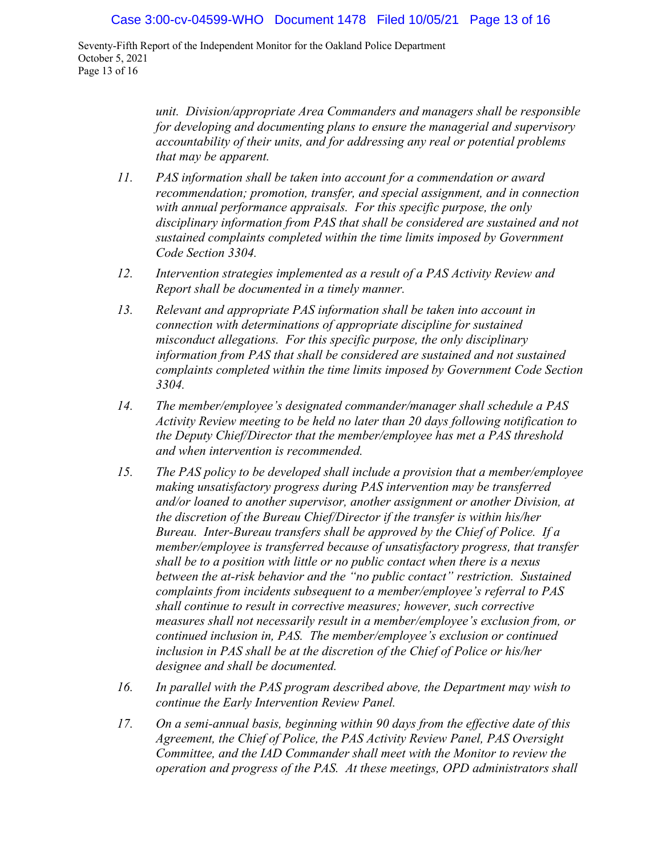Seventy-Fifth Report of the Independent Monitor for the Oakland Police Department October 5, 2021 Page 13 of 16

> *unit. Division/appropriate Area Commanders and managers shall be responsible for developing and documenting plans to ensure the managerial and supervisory accountability of their units, and for addressing any real or potential problems that may be apparent.*

- *11. PAS information shall be taken into account for a commendation or award recommendation; promotion, transfer, and special assignment, and in connection with annual performance appraisals. For this specific purpose, the only disciplinary information from PAS that shall be considered are sustained and not sustained complaints completed within the time limits imposed by Government Code Section 3304.*
- *12. Intervention strategies implemented as a result of a PAS Activity Review and Report shall be documented in a timely manner.*
- *13. Relevant and appropriate PAS information shall be taken into account in connection with determinations of appropriate discipline for sustained misconduct allegations. For this specific purpose, the only disciplinary information from PAS that shall be considered are sustained and not sustained complaints completed within the time limits imposed by Government Code Section 3304.*
- *14. The member/employee's designated commander/manager shall schedule a PAS Activity Review meeting to be held no later than 20 days following notification to the Deputy Chief/Director that the member/employee has met a PAS threshold and when intervention is recommended.*
- *15. The PAS policy to be developed shall include a provision that a member/employee making unsatisfactory progress during PAS intervention may be transferred and/or loaned to another supervisor, another assignment or another Division, at the discretion of the Bureau Chief/Director if the transfer is within his/her Bureau. Inter-Bureau transfers shall be approved by the Chief of Police. If a member/employee is transferred because of unsatisfactory progress, that transfer shall be to a position with little or no public contact when there is a nexus between the at-risk behavior and the "no public contact" restriction. Sustained complaints from incidents subsequent to a member/employee's referral to PAS shall continue to result in corrective measures; however, such corrective measures shall not necessarily result in a member/employee's exclusion from, or continued inclusion in, PAS. The member/employee's exclusion or continued inclusion in PAS shall be at the discretion of the Chief of Police or his/her designee and shall be documented.*
- *16. In parallel with the PAS program described above, the Department may wish to continue the Early Intervention Review Panel.*
- *17. On a semi-annual basis, beginning within 90 days from the effective date of this Agreement, the Chief of Police, the PAS Activity Review Panel, PAS Oversight Committee, and the IAD Commander shall meet with the Monitor to review the operation and progress of the PAS. At these meetings, OPD administrators shall*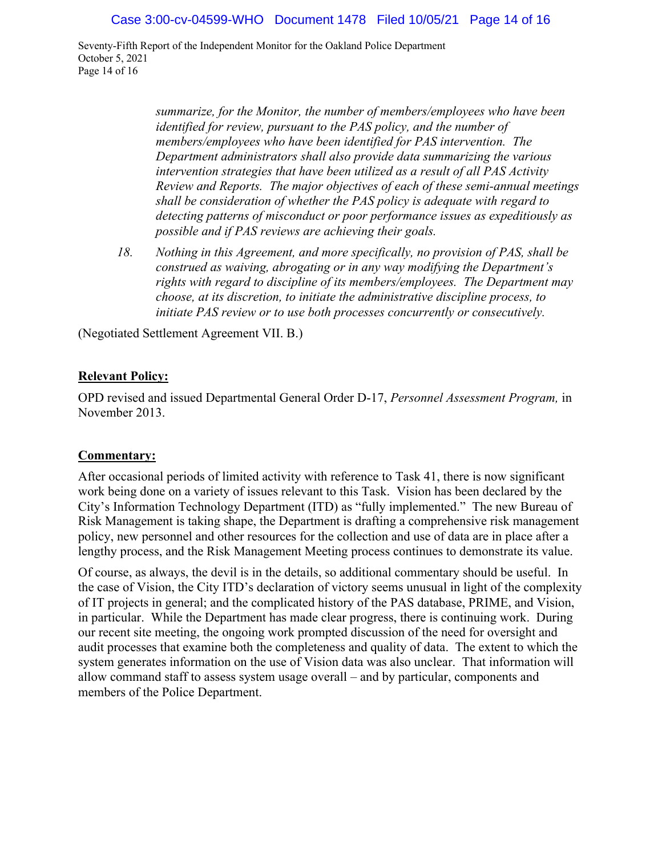Seventy-Fifth Report of the Independent Monitor for the Oakland Police Department October 5, 2021 Page 14 of 16

> *summarize, for the Monitor, the number of members/employees who have been identified for review, pursuant to the PAS policy, and the number of members/employees who have been identified for PAS intervention. The Department administrators shall also provide data summarizing the various intervention strategies that have been utilized as a result of all PAS Activity Review and Reports. The major objectives of each of these semi-annual meetings shall be consideration of whether the PAS policy is adequate with regard to detecting patterns of misconduct or poor performance issues as expeditiously as possible and if PAS reviews are achieving their goals.*

*18. Nothing in this Agreement, and more specifically, no provision of PAS, shall be construed as waiving, abrogating or in any way modifying the Department's rights with regard to discipline of its members/employees. The Department may choose, at its discretion, to initiate the administrative discipline process, to initiate PAS review or to use both processes concurrently or consecutively.*

(Negotiated Settlement Agreement VII. B.)

#### **Relevant Policy:**

OPD revised and issued Departmental General Order D-17, *Personnel Assessment Program,* in November 2013.

#### **Commentary:**

After occasional periods of limited activity with reference to Task 41, there is now significant work being done on a variety of issues relevant to this Task. Vision has been declared by the City's Information Technology Department (ITD) as "fully implemented." The new Bureau of Risk Management is taking shape, the Department is drafting a comprehensive risk management policy, new personnel and other resources for the collection and use of data are in place after a lengthy process, and the Risk Management Meeting process continues to demonstrate its value.

Of course, as always, the devil is in the details, so additional commentary should be useful. In the case of Vision, the City ITD's declaration of victory seems unusual in light of the complexity of IT projects in general; and the complicated history of the PAS database, PRIME, and Vision, in particular. While the Department has made clear progress, there is continuing work. During our recent site meeting, the ongoing work prompted discussion of the need for oversight and audit processes that examine both the completeness and quality of data. The extent to which the system generates information on the use of Vision data was also unclear. That information will allow command staff to assess system usage overall – and by particular, components and members of the Police Department.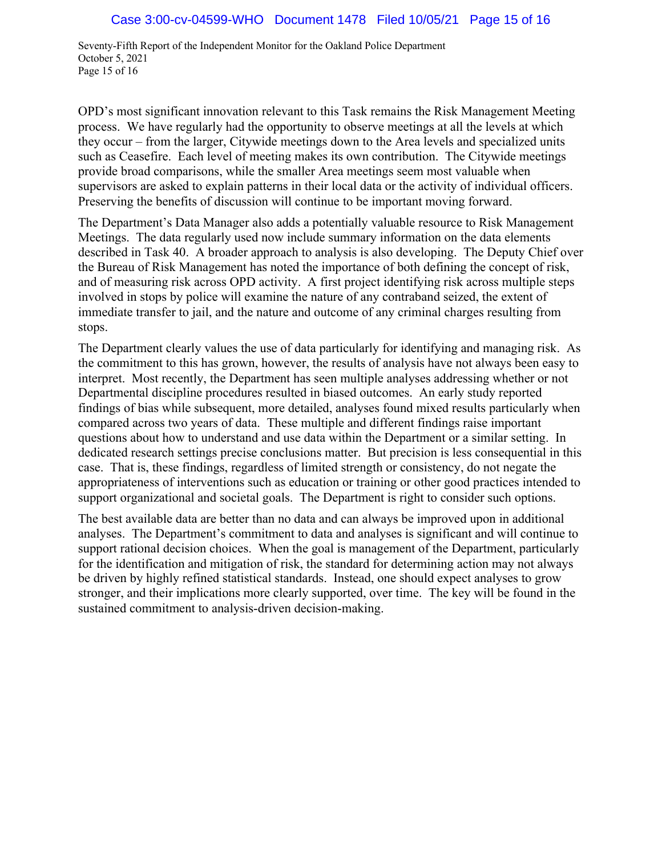Seventy-Fifth Report of the Independent Monitor for the Oakland Police Department October 5, 2021 Page 15 of 16

OPD's most significant innovation relevant to this Task remains the Risk Management Meeting process. We have regularly had the opportunity to observe meetings at all the levels at which they occur – from the larger, Citywide meetings down to the Area levels and specialized units such as Ceasefire. Each level of meeting makes its own contribution. The Citywide meetings provide broad comparisons, while the smaller Area meetings seem most valuable when supervisors are asked to explain patterns in their local data or the activity of individual officers. Preserving the benefits of discussion will continue to be important moving forward.

The Department's Data Manager also adds a potentially valuable resource to Risk Management Meetings. The data regularly used now include summary information on the data elements described in Task 40. A broader approach to analysis is also developing. The Deputy Chief over the Bureau of Risk Management has noted the importance of both defining the concept of risk, and of measuring risk across OPD activity. A first project identifying risk across multiple steps involved in stops by police will examine the nature of any contraband seized, the extent of immediate transfer to jail, and the nature and outcome of any criminal charges resulting from stops.

The Department clearly values the use of data particularly for identifying and managing risk. As the commitment to this has grown, however, the results of analysis have not always been easy to interpret. Most recently, the Department has seen multiple analyses addressing whether or not Departmental discipline procedures resulted in biased outcomes. An early study reported findings of bias while subsequent, more detailed, analyses found mixed results particularly when compared across two years of data. These multiple and different findings raise important questions about how to understand and use data within the Department or a similar setting. In dedicated research settings precise conclusions matter. But precision is less consequential in this case. That is, these findings, regardless of limited strength or consistency, do not negate the appropriateness of interventions such as education or training or other good practices intended to support organizational and societal goals. The Department is right to consider such options.

The best available data are better than no data and can always be improved upon in additional analyses. The Department's commitment to data and analyses is significant and will continue to support rational decision choices. When the goal is management of the Department, particularly for the identification and mitigation of risk, the standard for determining action may not always be driven by highly refined statistical standards. Instead, one should expect analyses to grow stronger, and their implications more clearly supported, over time. The key will be found in the sustained commitment to analysis-driven decision-making.